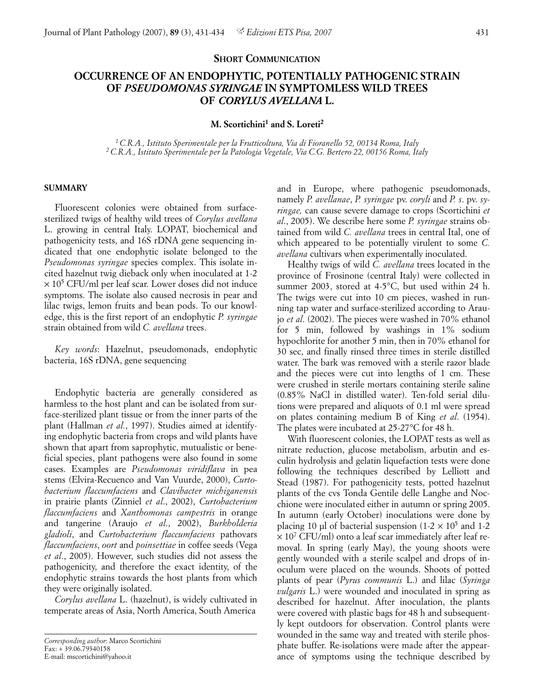## **SHORT COMMUNICATION**

## **OCCURRENCE OF AN ENDOPHYTIC, POTENTIALLY PATHOGENIC STRAIN OF** *PSEUDOMONAS SYRINGAE* **IN SYMPTOMLESS WILD TREES OF** *CORYLUS AVELLANA* **L.**

**M. Scortichini1 and S. Loreti2**

*1 C.R.A., Istituto Sperimentale per la Frutticoltura, Via di Fioranello 52, 00134 Roma, Italy 2 C.R.A., Istituto Sperimentale per la Patologia Vegetale, Via C.G. Bertero 22, 00156 Roma, Italy*

## **SUMMARY**

Fluorescent colonies were obtained from surfacesterilized twigs of healthy wild trees of *Corylus avellana* L. growing in central Italy. LOPAT, biochemical and pathogenicity tests, and 16S rDNA gene sequencing indicated that one endophytic isolate belonged to the *Pseudomonas syringae* species complex. This isolate incited hazelnut twig dieback only when inoculated at 1-2  $\times$  10<sup>5</sup> CFU/ml per leaf scar. Lower doses did not induce symptoms. The isolate also caused necrosis in pear and lilac twigs, lemon fruits and bean pods. To our knowledge, this is the first report of an endophytic *P. syringae* strain obtained from wild *C. avellana* trees.

*Key words*: Hazelnut, pseudomonads, endophytic bacteria, 16S rDNA, gene sequencing

Endophytic bacteria are generally considered as harmless to the host plant and can be isolated from surface-sterilized plant tissue or from the inner parts of the plant (Hallman *et al.*, 1997). Studies aimed at identifying endophytic bacteria from crops and wild plants have shown that apart from saprophytic, mutualistic or beneficial species, plant pathogens were also found in some cases. Examples are *Pseudomonas viridiflava* in pea stems (Elvira-Recuenco and Van Vuurde, 2000), *Curtobacterium flaccumfaciens* and *Clavibacter michiganensis* in prairie plants (Zinniel *et al*., 2002), *Curtobacterium flaccumfaciens* and *Xanthomonas campestris* in orange and tangerine (Araujo *et al*., 2002), *Burkholderia gladioli*, and *Curtobacterium flaccumfaciens* pathovars *flaccumfaciens*, *oort* and *poinsettiae* in coffee seeds (Vega *et al*., 2005). However, such studies did not assess the pathogenicity, and therefore the exact identity, of the endophytic strains towards the host plants from which they were originally isolated.

*Corylus avellana* L. (hazelnut), is widely cultivated in temperate areas of Asia, North America, South America

and in Europe, where pathogenic pseudomonads, namely *P. avellanae*, *P. syringae* pv. *coryli* and *P. s*. pv. *syringae,* can cause severe damage to crops (Scortichini *et al*., 2005). We describe here some *P. syringae* strains obtained from wild *C. avellana* trees in central Ital, one of which appeared to be potentially virulent to some *C. avellana* cultivars when experimentally inoculated.

Healthy twigs of wild *C. avellana* trees located in the province of Frosinone (central Italy) were collected in summer 2003, stored at 4-5°C, but used within 24 h. The twigs were cut into 10 cm pieces, washed in running tap water and surface-sterilized according to Araujo *et al*. (2002). The pieces were washed in 70% ethanol for 5 min, followed by washings in 1% sodium hypochlorite for another 5 min, then in 70% ethanol for 30 sec, and finally rinsed three times in sterile distilled water. The bark was removed with a sterile razor blade and the pieces were cut into lengths of 1 cm. These were crushed in sterile mortars containing sterile saline (0.85% NaCl in distilled water). Ten-fold serial dilutions were prepared and aliquots of 0.1 ml were spread on plates containing medium B of King *et al*. (1954). The plates were incubated at 25-27°C for 48 h.

With fluorescent colonies, the LOPAT tests as well as nitrate reduction, glucose metabolism, arbutin and esculin hydrolysis and gelatin liquefaction tests were done following the techniques described by Lelliott and Stead (1987). For pathogenicity tests, potted hazelnut plants of the cvs Tonda Gentile delle Langhe and Nocchione were inoculated either in autumn or spring 2005. In autumn (early October) inoculations were done by placing 10 µl of bacterial suspension  $(1-2 \times 10^5$  and 1-2  $\times 10^7$  CFU/ml) onto a leaf scar immediately after leaf removal. In spring (early May), the young shoots were gently wounded with a sterile scalpel and drops of inoculum were placed on the wounds. Shoots of potted plants of pear (*Pyrus communis* L.) and lilac (*Syringa vulgaris* L.) were wounded and inoculated in spring as described for hazelnut. After inoculation, the plants were covered with plastic bags for 48 h and subsequently kept outdoors for observation. Control plants were wounded in the same way and treated with sterile phosphate buffer. Re-isolations were made after the appearance of symptoms using the technique described by

*Corresponding author*: Marco Scortichini Fax: + 39.06.79340158 E-mail: mscortichini@yahoo.it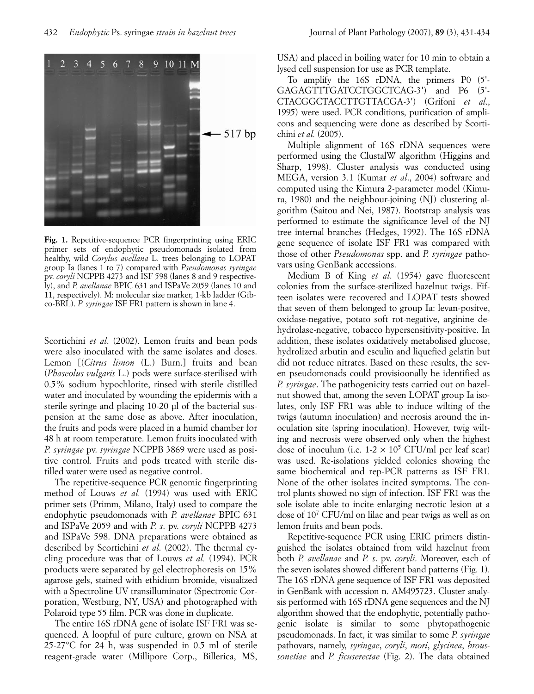

**Fig. 1.** Repetitive-sequence PCR fingerprinting using ERIC primer sets of endophytic pseudomonads isolated from healthy, wild *Corylus avellana* L. trees belonging to LOPAT group Ia (lanes 1 to 7) compared with *Pseudomonas syringae* pv. *coryli* NCPPB 4273 and ISF 598 (lanes 8 and 9 respectively), and *P. avellanae* BPIC 631 and ISPaVe 2059 (lanes 10 and 11, respectively). M: molecular size marker, 1-kb ladder (Gibco-BRL). *P. syringae* ISF FR1 pattern is shown in lane 4.

Scortichini *et al*. (2002). Lemon fruits and bean pods were also inoculated with the same isolates and doses. Lemon [(*Citrus limon* (L.) Burn.] fruits and bean (*Phaseolus vulgaris* L.) pods were surface-sterilised with 0.5% sodium hypochlorite, rinsed with sterile distilled water and inoculated by wounding the epidermis with a sterile syringe and placing 10-20 µl of the bacterial suspension at the same dose as above. After inoculation, the fruits and pods were placed in a humid chamber for 48 h at room temperature. Lemon fruits inoculated with *P. syringae* pv. *syringae* NCPPB 3869 were used as positive control. Fruits and pods treated with sterile distilled water were used as negative control.

The repetitive-sequence PCR genomic fingerprinting method of Louws *et al.* (1994) was used with ERIC primer sets (Primm, Milano, Italy) used to compare the endophytic pseudomonads with *P. avellanae* BPIC 631 and ISPaVe 2059 and with *P. s*. pv. *coryli* NCPPB 4273 and ISPaVe 598. DNA preparations were obtained as described by Scortichini *et al*. (2002). The thermal cycling procedure was that of Louws *et al.* (1994). PCR products were separated by gel electrophoresis on 15% agarose gels, stained with ethidium bromide, visualized with a Spectroline UV transilluminator (Spectronic Corporation, Westburg, NY, USA) and photographed with Polaroid type 55 film. PCR was done in duplicate.

The entire 16S rDNA gene of isolate ISF FR1 was sequenced. A loopful of pure culture, grown on NSA at 25-27°C for 24 h, was suspended in 0.5 ml of sterile reagent-grade water (Millipore Corp., Billerica, MS, USA) and placed in boiling water for 10 min to obtain a lysed cell suspension for use as PCR template.

To amplify the 16S rDNA, the primers P0 (5'- GAGAGTTTGATCCTGGCTCAG-3') and P6 (5'- CTACGGCTACCTTGTTACGA-3') (Grifoni *et al*., 1995) were used. PCR conditions, purification of amplicons and sequencing were done as described by Scortichini *et al.* (2005).

Multiple alignment of 16S rDNA sequences were performed using the ClustalW algorithm (Higgins and Sharp, 1998). Cluster analysis was conducted using MEGA, version 3.1 (Kumar *et al*., 2004) software and computed using the Kimura 2-parameter model (Kimura, 1980) and the neighbour-joining (NJ) clustering algorithm (Saitou and Nei, 1987). Bootstrap analysis was performed to estimate the significance level of the NJ tree internal branches (Hedges, 1992). The 16S rDNA gene sequence of isolate ISF FR1 was compared with those of other *Pseudomonas* spp. and *P. syringae* pathovars using GenBank accessions.

Medium B of King *et al*. (1954) gave fluorescent colonies from the surface-sterilized hazelnut twigs. Fifteen isolates were recovered and LOPAT tests showed that seven of them belonged to group Ia: levan-positve, oxidase-negative, potato soft rot-negative, arginine dehydrolase-negative, tobacco hypersensitivity-positive. In addition, these isolates oxidatively metabolised glucose, hydrolized arbutin and esculin and liquefied gelatin but did not reduce nitrates. Based on these results, the seven pseudomonads could provisioonally be identified as *P. syringae*. The pathogenicity tests carried out on hazelnut showed that, among the seven LOPAT group Ia isolates, only ISF FR1 was able to induce wilting of the twigs (autumn inoculation) and necrosis around the inoculation site (spring inoculation). However, twig wilting and necrosis were observed only when the highest dose of inoculum (i.e.  $1-2 \times 10^5$  CFU/ml per leaf scar) was used. Re-isolations yielded colonies showing the same biochemical and rep-PCR patterns as ISF FR1. None of the other isolates incited symptoms. The control plants showed no sign of infection. ISF FR1 was the sole isolate able to incite enlarging necrotic lesion at a dose of 107 CFU/ml on lilac and pear twigs as well as on lemon fruits and bean pods.

Repetitive-sequence PCR using ERIC primers distinguished the isolates obtained from wild hazelnut from both *P. avellanae* and *P. s*. pv. *coryli*. Moreover, each of the seven isolates showed different band patterns (Fig. 1). The 16S rDNA gene sequence of ISF FR1 was deposited in GenBank with accession n. AM495723. Cluster analysis performed with 16S rDNA gene sequences and the NJ algorithm showed that the endophytic, potentially pathogenic isolate is similar to some phytopathogenic pseudomonads. In fact, it was similar to some *P. syringae* pathovars, namely, *syringae*, *coryli*, *mori*, *glycinea*, *broussonetiae* and *P. ficuserectae* (Fig. 2). The data obtained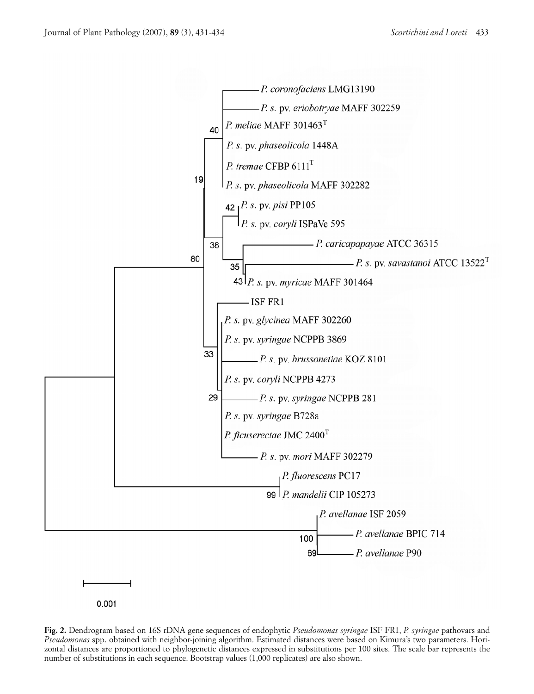

**Fig. 2.** Dendrogram based on 16S rDNA gene sequences of endophytic *Pseudomonas syringae* ISF FR1, *P. syringae* pathovars and *Pseudomonas* spp. obtained with neighbor-joining algorithm. Estimated distances were based on Kimura's two parameters. Horizontal distances are proportioned to phylogenetic distances expressed in substitutions per 100 sites. The scale bar represents the number of substitutions in each sequence. Bootstrap values (1,000 replicates) are also shown.